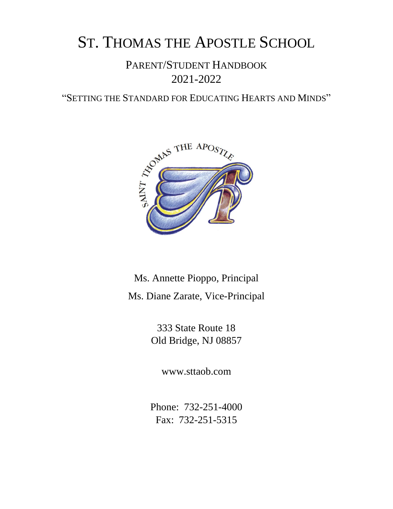# ST. THOMAS THE APOSTLE SCHOOL

# PARENT/STUDENT HANDBOOK 2021-2022

"SETTING THE STANDARD FOR EDUCATING HEARTS AND MINDS"



# Ms. Annette Pioppo, Principal Ms. Diane Zarate, Vice-Principal

333 State Route 18 Old Bridge, NJ 08857

www.sttaob.com

Phone: 732-251-4000 Fax: 732-251-5315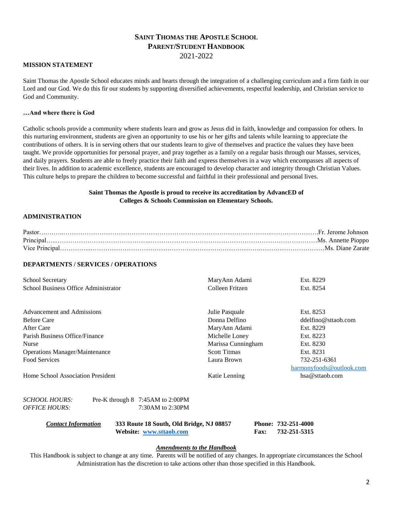#### **SAINT THOMAS THE APOSTLE SCHOOL PARENT/STUDENT HANDBOOK** 2021-2022

#### **MISSION STATEMENT**

Saint Thomas the Apostle School educates minds and hearts through the integration of a challenging curriculum and a firm faith in our Lord and our God. We do this fir our students by supporting diversified achievements, respectful leadership, and Christian service to God and Community.

#### **…And where there is God**

Catholic schools provide a community where students learn and grow as Jesus did in faith, knowledge and compassion for others. In this nurturing environment, students are given an opportunity to use his or her gifts and talents while learning to appreciate the contributions of others. It is in serving others that our students learn to give of themselves and practice the values they have been taught. We provide opportunities for personal prayer, and pray together as a family on a regular basis through our Masses, services, and daily prayers. Students are able to freely practice their faith and express themselves in a way which encompasses all aspects of their lives. In addition to academic excellence, students are encouraged to develop character and integrity through Christian Values. This culture helps to prepare the children to become successful and faithful in their professional and personal lives.

#### **Saint Thomas the Apostle is proud to receive its accreditation by AdvancED of Colleges & Schools Commission on Elementary Schools.**

#### **ADMINISTRATION**

| Pastor |                  |
|--------|------------------|
|        |                  |
|        | Ms. Diane Zarate |

#### **DEPARTMENTS / SERVICES / OPERATIONS**

| <b>School Secretary</b>               |                                      | MaryAnn Adami       | Ext. 8229                |  |
|---------------------------------------|--------------------------------------|---------------------|--------------------------|--|
| School Business Office Administrator  |                                      | Colleen Fritzen     | Ext. 8254                |  |
|                                       |                                      |                     |                          |  |
| Advancement and Admissions            |                                      | Julie Pasquale      | Ext. 8253                |  |
| <b>Before Care</b>                    |                                      | Donna Delfino       | $ddeffino@$ straob.com   |  |
| After Care                            |                                      | MaryAnn Adami       | Ext. 8229                |  |
| Parish Business Office/Finance        |                                      | Michelle Loney      | Ext. 8223                |  |
| Nurse                                 |                                      | Marissa Cunningham  | Ext. 8230                |  |
| <b>Operations Manager/Maintenance</b> |                                      | <b>Scott Titmas</b> | Ext. 8231                |  |
| Food Services                         |                                      | Laura Brown         | 732-251-6361             |  |
|                                       |                                      |                     | harmonyfoods@outlook.com |  |
| Home School Association President     |                                      | Katie Lenning       | hsa@sttaob.com           |  |
| SCHOOL HOURS:                         | Pre-K through $8$ 7:45 AM to 2:00 PM |                     |                          |  |
| OFFICE HOURS:                         | $7:30AM$ to $2:30PM$                 |                     |                          |  |

| <b>Contact Information</b> | 333 Route 18 South, Old Bridge, NJ 08857 |             | Phone: 732-251-4000 |
|----------------------------|------------------------------------------|-------------|---------------------|
|                            | Website: www.sttaob.com                  | <b>Fax:</b> | 732-251-5315        |

#### *Amendments to the Handbook*

This Handbook is subject to change at any time. Parents will be notified of any changes. In appropriate circumstances the School Administration has the discretion to take actions other than those specified in this Handbook.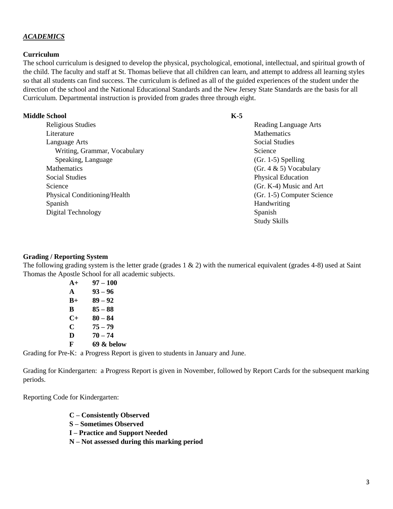#### *ACADEMICS*

#### **Curriculum**

The school curriculum is designed to develop the physical, psychological, emotional, intellectual, and spiritual growth of the child. The faculty and staff at St. Thomas believe that all children can learn, and attempt to address all learning styles so that all students can find success. The curriculum is defined as all of the guided experiences of the student under the direction of the school and the National Educational Standards and the New Jersey State Standards are the basis for all Curriculum. Departmental instruction is provided from grades three through eight.

#### **Middle School**

Religious Studies Literature Language Arts Writing, Grammar, Vocabulary Speaking, Language **Mathematics** Social Studies Science Physical Conditioning/Health Spanish Digital Technology

#### **K-5**

Reading Language Arts **Mathematics** Social Studies Science (Gr. 1-5) Spelling (Gr. 4 & 5) Vocabulary Physical Education (Gr. K-4) Music and Art (Gr. 1-5) Computer Science Handwriting Spanish Study Skills

#### **Grading / Reporting System**

The following grading system is the letter grade (grades 1 & 2) with the numerical equivalent (grades 4-8) used at Saint Thomas the Apostle School for all academic subjects.

| $A+$      | $97 - 100$ |
|-----------|------------|
| A         | $93 - 96$  |
| $B+$      | $89 - 92$  |
| B         | $85 - 88$  |
| $C_{\pm}$ | $80 - 84$  |
| C         | $75 - 79$  |
| D         | $70 - 74$  |
| F         | 69 & below |

Grading for Pre-K: a Progress Report is given to students in January and June.

Grading for Kindergarten: a Progress Report is given in November, followed by Report Cards for the subsequent marking periods.

Reporting Code for Kindergarten:

- **C – Consistently Observed**
- **S – Sometimes Observed**
- **I – Practice and Support Needed**
- **N – Not assessed during this marking period**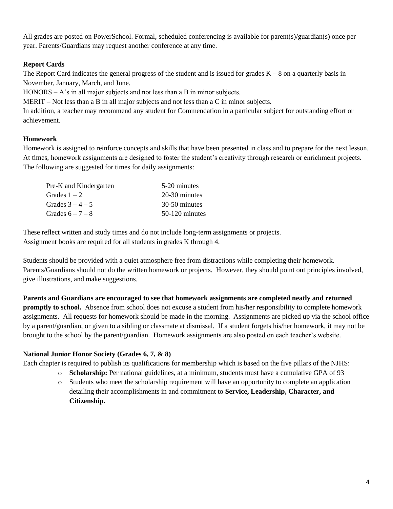All grades are posted on PowerSchool. Formal, scheduled conferencing is available for parent(s)/guardian(s) once per year. Parents/Guardians may request another conference at any time.

# **Report Cards**

The Report Card indicates the general progress of the student and is issued for grades  $K - 8$  on a quarterly basis in November, January, March, and June.

HONORS –  $A$ 's in all major subjects and not less than a B in minor subjects.

MERIT – Not less than a B in all major subjects and not less than a C in minor subjects.

In addition, a teacher may recommend any student for Commendation in a particular subject for outstanding effort or achievement.

# **Homework**

Homework is assigned to reinforce concepts and skills that have been presented in class and to prepare for the next lesson. At times, homework assignments are designed to foster the student's creativity through research or enrichment projects. The following are suggested for times for daily assignments:

| Pre-K and Kindergarten | 5-20 minutes   |
|------------------------|----------------|
| Grades $1-2$           | 20-30 minutes  |
| Grades $3 - 4 - 5$     | 30-50 minutes  |
| Grades $6-7-8$         | 50-120 minutes |

These reflect written and study times and do not include long-term assignments or projects. Assignment books are required for all students in grades K through 4.

Students should be provided with a quiet atmosphere free from distractions while completing their homework. Parents/Guardians should not do the written homework or projects. However, they should point out principles involved, give illustrations, and make suggestions.

**Parents and Guardians are encouraged to see that homework assignments are completed neatly and returned promptly to school.** Absence from school does not excuse a student from his/her responsibility to complete homework assignments. All requests for homework should be made in the morning. Assignments are picked up via the school office by a parent/guardian, or given to a sibling or classmate at dismissal. If a student forgets his/her homework, it may not be brought to the school by the parent/guardian. Homework assignments are also posted on each teacher's website.

#### **National Junior Honor Society (Grades 6, 7, & 8)**

Each chapter is required to publish its qualifications for membership which is based on the five pillars of the NJHS:

- o **Scholarship:** Per national guidelines, at a minimum, students must have a cumulative GPA of 93
- o Students who meet the scholarship requirement will have an opportunity to complete an application detailing their accomplishments in and commitment to **Service, Leadership, Character, and Citizenship.**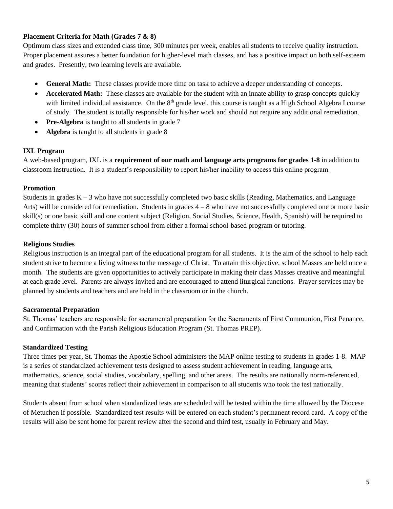#### **Placement Criteria for Math (Grades 7 & 8)**

Optimum class sizes and extended class time, 300 minutes per week, enables all students to receive quality instruction. Proper placement assures a better foundation for higher-level math classes, and has a positive impact on both self-esteem and grades. Presently, two learning levels are available.

- **General Math:** These classes provide more time on task to achieve a deeper understanding of concepts.
- **Accelerated Math:** These classes are available for the student with an innate ability to grasp concepts quickly with limited individual assistance. On the  $8<sup>th</sup>$  grade level, this course is taught as a High School Algebra I course of study. The student is totally responsible for his/her work and should not require any additional remediation.
- **Pre**-**Algebra** is taught to all students in grade 7
- **Algebra** is taught to all students in grade 8

#### **IXL Program**

A web-based program, IXL is a **requirement of our math and language arts programs for grades 1-8** in addition to classroom instruction. It is a student's responsibility to report his/her inability to access this online program.

#### **Promotion**

Students in grades  $K - 3$  who have not successfully completed two basic skills (Reading, Mathematics, and Language Arts) will be considered for remediation. Students in grades 4 – 8 who have not successfully completed one or more basic skill(s) or one basic skill and one content subject (Religion, Social Studies, Science, Health, Spanish) will be required to complete thirty (30) hours of summer school from either a formal school-based program or tutoring.

#### **Religious Studies**

Religious instruction is an integral part of the educational program for all students. It is the aim of the school to help each student strive to become a living witness to the message of Christ. To attain this objective, school Masses are held once a month. The students are given opportunities to actively participate in making their class Masses creative and meaningful at each grade level. Parents are always invited and are encouraged to attend liturgical functions. Prayer services may be planned by students and teachers and are held in the classroom or in the church.

#### **Sacramental Preparation**

St. Thomas' teachers are responsible for sacramental preparation for the Sacraments of First Communion, First Penance, and Confirmation with the Parish Religious Education Program (St. Thomas PREP).

#### **Standardized Testing**

Three times per year, St. Thomas the Apostle School administers the MAP online testing to students in grades 1-8. MAP is a series of standardized achievement tests designed to assess student achievement in reading, language arts, mathematics, science, social studies, vocabulary, spelling, and other areas. The results are nationally norm-referenced, meaning that students' scores reflect their achievement in comparison to all students who took the test nationally.

Students absent from school when standardized tests are scheduled will be tested within the time allowed by the Diocese of Metuchen if possible. Standardized test results will be entered on each student's permanent record card. A copy of the results will also be sent home for parent review after the second and third test, usually in February and May.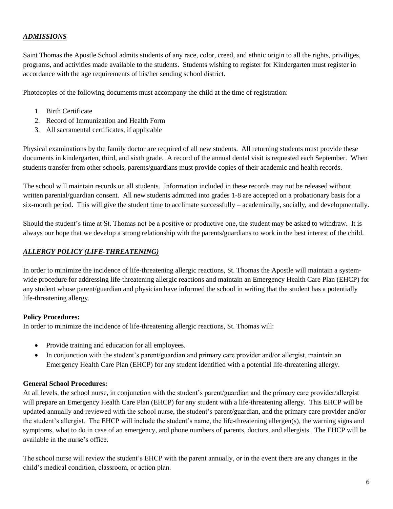# *ADMISSIONS*

Saint Thomas the Apostle School admits students of any race, color, creed, and ethnic origin to all the rights, priviliges, programs, and activities made available to the students. Students wishing to register for Kindergarten must register in accordance with the age requirements of his/her sending school district.

Photocopies of the following documents must accompany the child at the time of registration:

- 1. Birth Certificate
- 2. Record of Immunization and Health Form
- 3. All sacramental certificates, if applicable

Physical examinations by the family doctor are required of all new students. All returning students must provide these documents in kindergarten, third, and sixth grade. A record of the annual dental visit is requested each September. When students transfer from other schools, parents/guardians must provide copies of their academic and health records.

The school will maintain records on all students. Information included in these records may not be released without written parental/guardian consent. All new students admitted into grades 1-8 are accepted on a probationary basis for a six-month period. This will give the student time to acclimate successfully – academically, socially, and developmentally.

Should the student's time at St. Thomas not be a positive or productive one, the student may be asked to withdraw. It is always our hope that we develop a strong relationship with the parents/guardians to work in the best interest of the child.

#### *ALLERGY POLICY (LIFE-THREATENING)*

In order to minimize the incidence of life-threatening allergic reactions, St. Thomas the Apostle will maintain a systemwide procedure for addressing life-threatening allergic reactions and maintain an Emergency Health Care Plan (EHCP) for any student whose parent/guardian and physician have informed the school in writing that the student has a potentially life-threatening allergy.

#### **Policy Procedures:**

In order to minimize the incidence of life-threatening allergic reactions, St. Thomas will:

- Provide training and education for all employees.
- In conjunction with the student's parent/guardian and primary care provider and/or allergist, maintain an Emergency Health Care Plan (EHCP) for any student identified with a potential life-threatening allergy.

#### **General School Procedures:**

At all levels, the school nurse, in conjunction with the student's parent/guardian and the primary care provider/allergist will prepare an Emergency Health Care Plan (EHCP) for any student with a life-threatening allergy. This EHCP will be updated annually and reviewed with the school nurse, the student's parent/guardian, and the primary care provider and/or the student's allergist. The EHCP will include the student's name, the life-threatening allergen(s), the warning signs and symptoms, what to do in case of an emergency, and phone numbers of parents, doctors, and allergists. The EHCP will be available in the nurse's office.

The school nurse will review the student's EHCP with the parent annually, or in the event there are any changes in the child's medical condition, classroom, or action plan.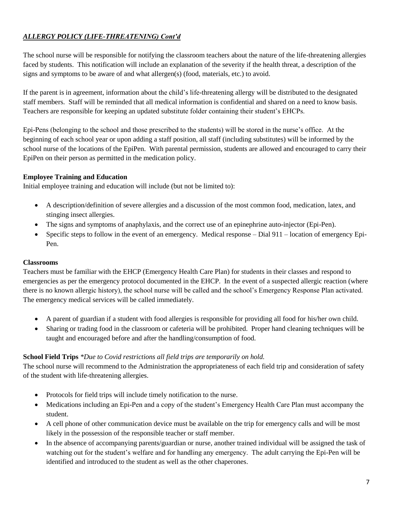# *ALLERGY POLICY (LIFE-THREATENING) Cont'd*

The school nurse will be responsible for notifying the classroom teachers about the nature of the life-threatening allergies faced by students. This notification will include an explanation of the severity if the health threat, a description of the signs and symptoms to be aware of and what allergen(s) (food, materials, etc.) to avoid.

If the parent is in agreement, information about the child's life-threatening allergy will be distributed to the designated staff members. Staff will be reminded that all medical information is confidential and shared on a need to know basis. Teachers are responsible for keeping an updated substitute folder containing their student's EHCPs.

Epi-Pens (belonging to the school and those prescribed to the students) will be stored in the nurse's office. At the beginning of each school year or upon adding a staff position, all staff (including substitutes) will be informed by the school nurse of the locations of the EpiPen. With parental permission, students are allowed and encouraged to carry their EpiPen on their person as permitted in the medication policy.

# **Employee Training and Education**

Initial employee training and education will include (but not be limited to):

- A description/definition of severe allergies and a discussion of the most common food, medication, latex, and stinging insect allergies.
- The signs and symptoms of anaphylaxis, and the correct use of an epinephrine auto-injector (Epi-Pen).
- Specific steps to follow in the event of an emergency. Medical response Dial 911 location of emergency Epi-Pen.

# **Classrooms**

Teachers must be familiar with the EHCP (Emergency Health Care Plan) for students in their classes and respond to emergencies as per the emergency protocol documented in the EHCP. In the event of a suspected allergic reaction (where there is no known allergic history), the school nurse will be called and the school's Emergency Response Plan activated. The emergency medical services will be called immediately.

- A parent of guardian if a student with food allergies is responsible for providing all food for his/her own child.
- Sharing or trading food in the classroom or cafeteria will be prohibited. Proper hand cleaning techniques will be taught and encouraged before and after the handling/consumption of food.

# **School Field Trips** *\*Due to Covid restrictions all field trips are temporarily on hold.*

The school nurse will recommend to the Administration the appropriateness of each field trip and consideration of safety of the student with life-threatening allergies.

- Protocols for field trips will include timely notification to the nurse.
- Medications including an Epi-Pen and a copy of the student's Emergency Health Care Plan must accompany the student.
- A cell phone of other communication device must be available on the trip for emergency calls and will be most likely in the possession of the responsible teacher or staff member.
- In the absence of accompanying parents/guardian or nurse, another trained individual will be assigned the task of watching out for the student's welfare and for handling any emergency. The adult carrying the Epi-Pen will be identified and introduced to the student as well as the other chaperones.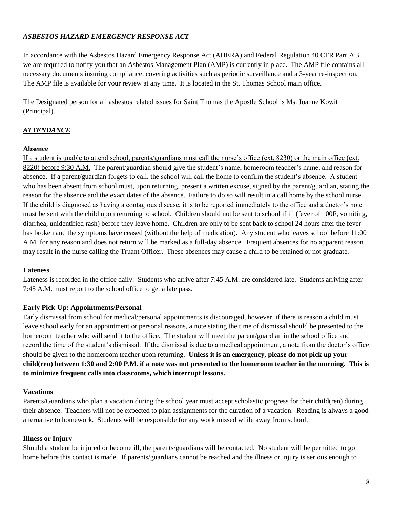# *ASBESTOS HAZARD EMERGENCY RESPONSE ACT*

In accordance with the Asbestos Hazard Emergency Response Act (AHERA) and Federal Regulation 40 CFR Part 763, we are required to notify you that an Asbestos Management Plan (AMP) is currently in place. The AMP file contains all necessary documents insuring compliance, covering activities such as periodic surveillance and a 3-year re-inspection. The AMP file is available for your review at any time. It is located in the St. Thomas School main office.

The Designated person for all asbestos related issues for Saint Thomas the Apostle School is Ms. Joanne Kowit (Principal).

# *ATTENDANCE*

#### **Absence**

If a student is unable to attend school, parents/guardians must call the nurse's office (ext. 8230) or the main office (ext. 8220) before 9:30 A.M. The parent/guardian should give the student's name, homeroom teacher's name, and reason for absence. If a parent/guardian forgets to call, the school will call the home to confirm the student's absence. A student who has been absent from school must, upon returning, present a written excuse, signed by the parent/guardian, stating the reason for the absence and the exact dates of the absence. Failure to do so will result in a call home by the school nurse. If the child is diagnosed as having a contagious disease, it is to be reported immediately to the office and a doctor's note must be sent with the child upon returning to school. Children should not be sent to school if ill (fever of 100F, vomiting, diarrhea, unidentified rash) before they leave home. Children are only to be sent back to school 24 hours after the fever has broken and the symptoms have ceased (without the help of medication). Any student who leaves school before 11:00 A.M. for any reason and does not return will be marked as a full-day absence. Frequent absences for no apparent reason may result in the nurse calling the Truant Officer. These absences may cause a child to be retained or not graduate.

#### **Lateness**

Lateness is recorded in the office daily. Students who arrive after 7:45 A.M. are considered late. Students arriving after 7:45 A.M. must report to the school office to get a late pass.

#### **Early Pick-Up: Appointments/Personal**

Early dismissal from school for medical/personal appointments is discouraged, however, if there is reason a child must leave school early for an appointment or personal reasons, a note stating the time of dismissal should be presented to the homeroom teacher who will send it to the office. The student will meet the parent/guardian in the school office and record the time of the student's dismissal. If the dismissal is due to a medical appointment, a note from the doctor's office should be given to the homeroom teacher upon returning. **Unless it is an emergency, please do not pick up your child(ren) between 1:30 and 2:00 P.M. if a note was not presented to the homeroom teacher in the morning. This is to minimize frequent calls into classrooms, which interrupt lessons.**

#### **Vacations**

Parents/Guardians who plan a vacation during the school year must accept scholastic progress for their child(ren) during their absence. Teachers will not be expected to plan assignments for the duration of a vacation. Reading is always a good alternative to homework. Students will be responsible for any work missed while away from school.

#### **Illness or Injury**

Should a student be injured or become ill, the parents/guardians will be contacted. No student will be permitted to go home before this contact is made. If parents/guardians cannot be reached and the illness or injury is serious enough to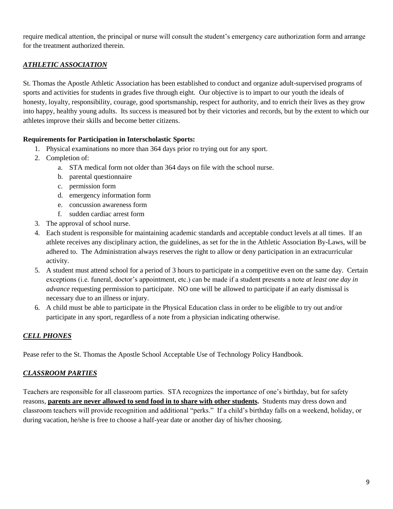require medical attention, the principal or nurse will consult the student's emergency care authorization form and arrange for the treatment authorized therein.

# *ATHLETIC ASSOCIATION*

St. Thomas the Apostle Athletic Association has been established to conduct and organize adult-supervised programs of sports and activities for students in grades five through eight. Our objective is to impart to our youth the ideals of honesty, loyalty, responsibility, courage, good sportsmanship, respect for authority, and to enrich their lives as they grow into happy, healthy young adults. Its success is measured bot by their victories and records, but by the extent to which our athletes improve their skills and become better citizens.

# **Requirements for Participation in Interscholastic Sports:**

- 1. Physical examinations no more than 364 days prior ro trying out for any sport.
- 2. Completion of:
	- a. STA medical form not older than 364 days on file with the school nurse.
		- b. parental questionnaire
		- c. permission form
		- d. emergency information form
		- e. concussion awareness form
		- f. sudden cardiac arrest form
- 3. The approval of school nurse.
- 4. Each student is responsible for maintaining academic standards and acceptable conduct levels at all times. If an athlete receives any disciplinary action, the guidelines, as set for the in the Athletic Association By-Laws, will be adhered to. The Administration always reserves the right to allow or deny participation in an extracurricular activity.
- 5. A student must attend school for a period of 3 hours to participate in a competitive even on the same day. Certain exceptions (i.e. funeral, doctor's appointment, etc.) can be made if a student presents a note *at least one day in advance* requesting permission to participate. NO one will be allowed to participate if an early dismissal is necessary due to an illness or injury.
- 6. A child must be able to participate in the Physical Education class in order to be eligible to try out and/or participate in any sport, regardless of a note from a physician indicating otherwise.

# *CELL PHONES*

Pease refer to the St. Thomas the Apostle School Acceptable Use of Technology Policy Handbook.

# *CLASSROOM PARTIES*

Teachers are responsible for all classroom parties. STA recognizes the importance of one's birthday, but for safety reasons, **parents are never allowed to send food in to share with other students.** Students may dress down and classroom teachers will provide recognition and additional "perks." If a child's birthday falls on a weekend, holiday, or during vacation, he/she is free to choose a half-year date or another day of his/her choosing.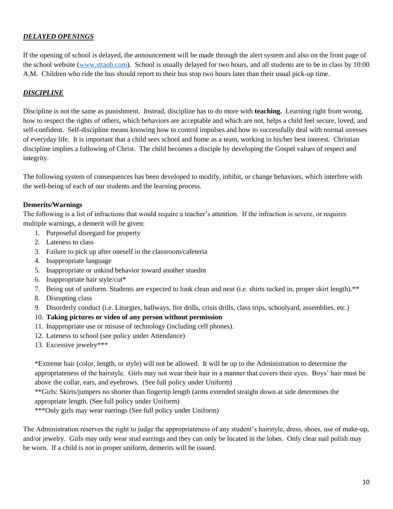# *DELAYED OPENINGS*

If the opening of school is delayed, the announcement will be made through the alert system and also on the front page of the school website [\(www.sttaob.com\)](http://www.sttaob.com/). School is usually delayed for two hours, and all students are to be in class by 10:00 A.M. Children who ride the bus should report to their bus stop two hours later than their usual pick-up time.

#### *DISCIPLINE*

Discipline is not the same as punishment. Instead, discipline has to do more with **teaching.** Learning right from wrong, how to respect the rights of others, which behaviors are acceptable and which are not, helps a child feel secure, loved, and self-confident. Self-discipline means knowing how to control impulses and how to successfully deal with normal stresses of everyday life. It is important that a child sees school and home as a team, working in his/her best interest. Christian discipline implies a following of Christ. The child becomes a disciple by developing the Gospel values of respect and integrity.

The following system of consequences has been developed to modify, inhibit, or change behaviors, which interfere with the well-being of each of our students and the learning process.

#### **Demerits/Warnings**

The following is a list of infractions that would require a teacher's attention. If the infraction is severe, or requires multiple warnings, a demerit will be given:

- 1. Purposeful disregard for property
- 2. Lateness to class
- 3. Failure to pick up after oneself in the classroom/cafeteria
- 4. Inappropriate language
- 5. Inappropriate or unkind behavior toward another stuednt
- 6. Inappropriate hair style/cut\*
- 7. Being out of uniform. Students are expected to look clean and neat (i.e. shirts tucked in, proper skirt length).\*\*
- 8. Disrupting class
- 9. Disorderly conduct (i.e. Liturgies, hallways, fire drills, crisis drills, class trips, schoolyard, assemblies, etc.)

#### 10. **Taking pictures or video of any person without permission**

- 11. Inappropriate use or misuse of technology (including cell phones).
- 12. Lateness to school (see policy under Attendance)
- 13. Excessive jewelry\*\*\*

\*Extreme hair (color, length, or style) will not be allowed. It will be up to the Administration to determine the appropriateness of the hairstyle. Girls may not wear their hair in a manner that covers their eyes. Boys' hair must be above the collar, ears, and eyebrows. (See full policy under Uniform)

\*\*Girls: Skirts/jumpers no shorter than fingertip length (arms extended straight down at side determines the appropriate length. (See full policy under Uniform)

\*\*\*Only girls may wear earrings (See full policy under Uniform)

The Administration reserves the right to judge the appropriateness of any student's hairstyle, dress, shoes, use of make-up, and/or jewelry. Girls may only wear stud earrings and they can only be located in the lobes. Only clear nail polish may be worn. If a child is not in proper uniform, demerits will be issued.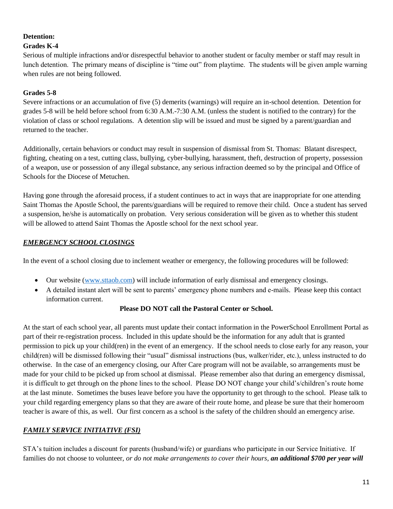# **Detention:**

# **Grades K-4**

Serious of multiple infractions and/or disrespectful behavior to another student or faculty member or staff may result in lunch detention. The primary means of discipline is "time out" from playtime. The students will be given ample warning when rules are not being followed.

# **Grades 5-8**

Severe infractions or an accumulation of five (5) demerits (warnings) will require an in-school detention. Detention for grades 5-8 will be held before school from 6:30 A.M.-7:30 A.M. (unless the student is notified to the contrary) for the violation of class or school regulations. A detention slip will be issued and must be signed by a parent/guardian and returned to the teacher.

Additionally, certain behaviors or conduct may result in suspension of dismissal from St. Thomas: Blatant disrespect, fighting, cheating on a test, cutting class, bullying, cyber-bullying, harassment, theft, destruction of property, possession of a weapon, use or possession of any illegal substance, any serious infraction deemed so by the principal and Office of Schools for the Diocese of Metuchen.

Having gone through the aforesaid process, if a student continues to act in ways that are inappropriate for one attending Saint Thomas the Apostle School, the parents/guardians will be required to remove their child. Once a student has served a suspension, he/she is automatically on probation. Very serious consideration will be given as to whether this student will be allowed to attend Saint Thomas the Apostle school for the next school year.

# *EMERGENCY SCHOOL CLOSINGS*

In the event of a school closing due to inclement weather or emergency, the following procedures will be followed:

- Our website [\(www.sttaob.com\)](http://www.sttaob.com/) will include information of early dismissal and emergency closings.
- A detailed instant alert will be sent to parents' emergency phone numbers and e-mails. Please keep this contact information current.

#### **Please DO NOT call the Pastoral Center or School.**

At the start of each school year, all parents must update their contact information in the PowerSchool Enrollment Portal as part of their re-registration process. Included in this update should be the information for any adult that is granted permission to pick up your child(ren) in the event of an emergency. If the school needs to close early for any reason, your child(ren) will be dismissed following their "usual" dismissal instructions (bus, walker/rider, etc.), unless instructed to do otherwise. In the case of an emergency closing, our After Care program will not be available, so arrangements must be made for your child to be picked up from school at dismissal. Please remember also that during an emergency dismissal, it is difficult to get through on the phone lines to the school. Please DO NOT change your child's/children's route home at the last minute. Sometimes the buses leave before you have the opportunity to get through to the school. Please talk to your child regarding emergency plans so that they are aware of their route home, and please be sure that their homeroom teacher is aware of this, as well. Our first concern as a school is the safety of the children should an emergency arise.

# *FAMILY SERVICE INITIATIVE (FSI)*

STA's tuition includes a discount for parents (husband/wife) or guardians who participate in our Service Initiative. If families do not choose to volunteer, *or do not make arrangements to cover their hours, an additional \$700 per year will*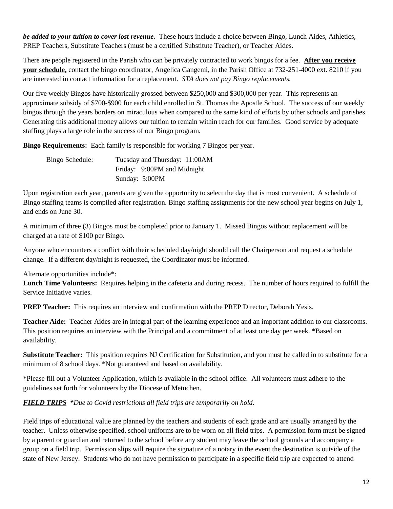*be added to your tuition to cover lost revenue.* These hours include a choice between Bingo, Lunch Aides, Athletics, PREP Teachers, Substitute Teachers (must be a certified Substitute Teacher), or Teacher Aides.

There are people registered in the Parish who can be privately contracted to work bingos for a fee. **After you receive your schedule,** contact the bingo coordinator, Angelica Gangemi, in the Parish Office at 732-251-4000 ext. 8210 if you are interested in contact information for a replacement. *STA does not pay Bingo replacements.*

Our five weekly Bingos have historically grossed between \$250,000 and \$300,000 per year. This represents an approximate subsidy of \$700-\$900 for each child enrolled in St. Thomas the Apostle School. The success of our weekly bingos through the years borders on miraculous when compared to the same kind of efforts by other schools and parishes. Generating this additional money allows our tuition to remain within reach for our families. Good service by adequate staffing plays a large role in the success of our Bingo program.

**Bingo Requirements:** Each family is responsible for working 7 Bingos per year.

| Bingo Schedule: | Tuesday and Thursday: 11:00AM |
|-----------------|-------------------------------|
|                 | Friday: 9:00PM and Midnight   |
|                 | Sunday: 5:00PM                |

Upon registration each year, parents are given the opportunity to select the day that is most convenient. A schedule of Bingo staffing teams is compiled after registration. Bingo staffing assignments for the new school year begins on July 1, and ends on June 30.

A minimum of three (3) Bingos must be completed prior to January 1. Missed Bingos without replacement will be charged at a rate of \$100 per Bingo.

Anyone who encounters a conflict with their scheduled day/night should call the Chairperson and request a schedule change. If a different day/night is requested, the Coordinator must be informed.

Alternate opportunities include\*:

**Lunch Time Volunteers:** Requires helping in the cafeteria and during recess. The number of hours required to fulfill the Service Initiative varies.

**PREP Teacher:** This requires an interview and confirmation with the PREP Director, Deborah Yesis.

**Teacher Aide:** Teacher Aides are in integral part of the learning experience and an important addition to our classrooms. This position requires an interview with the Principal and a commitment of at least one day per week. \*Based on availability.

**Substitute Teacher:** This position requires NJ Certification for Substitution, and you must be called in to substitute for a minimum of 8 school days. \*Not guaranteed and based on availability.

\*Please fill out a Volunteer Application, which is available in the school office. All volunteers must adhere to the guidelines set forth for volunteers by the Diocese of Metuchen.

# *FIELD TRIPS \*Due to Covid restrictions all field trips are temporarily on hold.*

Field trips of educational value are planned by the teachers and students of each grade and are usually arranged by the teacher. Unless otherwise specified, school uniforms are to be worn on all field trips. A permission form must be signed by a parent or guardian and returned to the school before any student may leave the school grounds and accompany a group on a field trip. Permission slips will require the signature of a notary in the event the destination is outside of the state of New Jersey. Students who do not have permission to participate in a specific field trip are expected to attend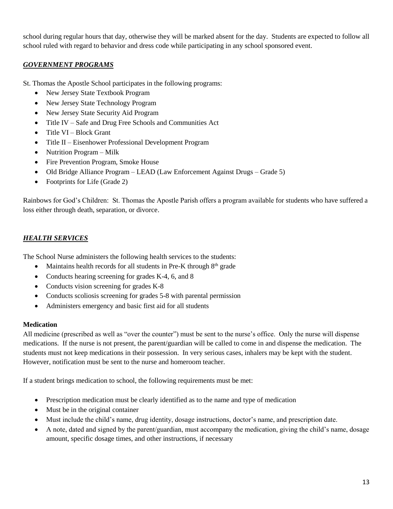school during regular hours that day, otherwise they will be marked absent for the day. Students are expected to follow all school ruled with regard to behavior and dress code while participating in any school sponsored event.

### *GOVERNMENT PROGRAMS*

St. Thomas the Apostle School participates in the following programs:

- New Jersey State Textbook Program
- New Jersey State Technology Program
- New Jersey State Security Aid Program
- Title IV Safe and Drug Free Schools and Communities Act
- Title VI Block Grant
- Title II Eisenhower Professional Development Program
- Nutrition Program Milk
- Fire Prevention Program, Smoke House
- Old Bridge Alliance Program LEAD (Law Enforcement Against Drugs Grade 5)
- Footprints for Life (Grade 2)

Rainbows for God's Children: St. Thomas the Apostle Parish offers a program available for students who have suffered a loss either through death, separation, or divorce.

# *HEALTH SERVICES*

The School Nurse administers the following health services to the students:

- Maintains health records for all students in Pre-K through  $8<sup>th</sup>$  grade
- Conducts hearing screening for grades K-4, 6, and 8
- Conducts vision screening for grades K-8
- Conducts scoliosis screening for grades 5-8 with parental permission
- Administers emergency and basic first aid for all students

#### **Medication**

All medicine (prescribed as well as "over the counter") must be sent to the nurse's office. Only the nurse will dispense medications. If the nurse is not present, the parent/guardian will be called to come in and dispense the medication. The students must not keep medications in their possession. In very serious cases, inhalers may be kept with the student. However, notification must be sent to the nurse and homeroom teacher.

If a student brings medication to school, the following requirements must be met:

- Prescription medication must be clearly identified as to the name and type of medication
- Must be in the original container
- Must include the child's name, drug identity, dosage instructions, doctor's name, and prescription date.
- A note, dated and signed by the parent/guardian, must accompany the medication, giving the child's name, dosage amount, specific dosage times, and other instructions, if necessary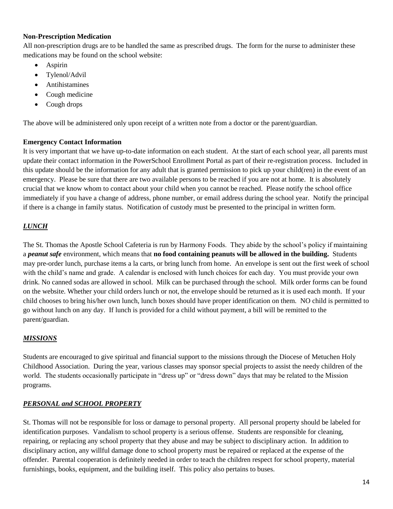#### **Non-Prescription Medication**

All non-prescription drugs are to be handled the same as prescribed drugs. The form for the nurse to administer these medications may be found on the school website:

- Aspirin
- Tylenol/Advil
- Antihistamines
- Cough medicine
- Cough drops

The above will be administered only upon receipt of a written note from a doctor or the parent/guardian.

#### **Emergency Contact Information**

It is very important that we have up-to-date information on each student. At the start of each school year, all parents must update their contact information in the PowerSchool Enrollment Portal as part of their re-registration process. Included in this update should be the information for any adult that is granted permission to pick up your child(ren) in the event of an emergency. Please be sure that there are two available persons to be reached if you are not at home. It is absolutely crucial that we know whom to contact about your child when you cannot be reached. Please notify the school office immediately if you have a change of address, phone number, or email address during the school year. Notify the principal if there is a change in family status. Notification of custody must be presented to the principal in written form.

# *LUNCH*

The St. Thomas the Apostle School Cafeteria is run by Harmony Foods. They abide by the school's policy if maintaining a *peanut safe* environment, which means that **no food containing peanuts will be allowed in the building.** Students may pre-order lunch, purchase items a la carts, or bring lunch from home. An envelope is sent out the first week of school with the child's name and grade. A calendar is enclosed with lunch choices for each day. You must provide your own drink. No canned sodas are allowed in school. Milk can be purchased through the school. Milk order forms can be found on the website. Whether your child orders lunch or not, the envelope should be returned as it is used each month. If your child chooses to bring his/her own lunch, lunch boxes should have proper identification on them. NO child is permitted to go without lunch on any day. If lunch is provided for a child without payment, a bill will be remitted to the parent/guardian.

#### *MISSIONS*

Students are encouraged to give spiritual and financial support to the missions through the Diocese of Metuchen Holy Childhood Association. During the year, various classes may sponsor special projects to assist the needy children of the world. The students occasionally participate in "dress up" or "dress down" days that may be related to the Mission programs.

#### *PERSONAL and SCHOOL PROPERTY*

St. Thomas will not be responsible for loss or damage to personal property. All personal property should be labeled for identification purposes. Vandalism to school property is a serious offense. Students are responsible for cleaning, repairing, or replacing any school property that they abuse and may be subject to disciplinary action. In addition to disciplinary action, any willful damage done to school property must be repaired or replaced at the expense of the offender. Parental cooperation is definitely needed in order to teach the children respect for school property, material furnishings, books, equipment, and the building itself. This policy also pertains to buses.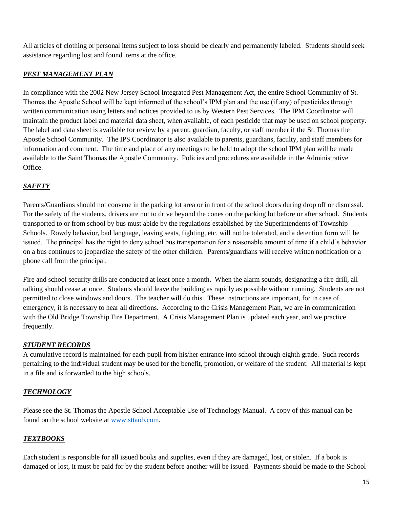All articles of clothing or personal items subject to loss should be clearly and permanently labeled. Students should seek assistance regarding lost and found items at the office.

# *PEST MANAGEMENT PLAN*

In compliance with the 2002 New Jersey School Integrated Pest Management Act, the entire School Community of St. Thomas the Apostle School will be kept informed of the school's IPM plan and the use (if any) of pesticides through written communication using letters and notices provided to us by Western Pest Services. The IPM Coordinator will maintain the product label and material data sheet, when available, of each pesticide that may be used on school property. The label and data sheet is available for review by a parent, guardian, faculty, or staff member if the St. Thomas the Apostle School Community. The IPS Coordinator is also available to parents, guardians, faculty, and staff members for information and comment. The time and place of any meetings to be held to adopt the school IPM plan will be made available to the Saint Thomas the Apostle Community. Policies and procedures are available in the Administrative Office.

# *SAFETY*

Parents/Guardians should not convene in the parking lot area or in front of the school doors during drop off or dismissal. For the safety of the students, drivers are not to drive beyond the cones on the parking lot before or after school. Students transported to or from school by bus must abide by the regulations established by the Superintendents of Township Schools. Rowdy behavior, bad language, leaving seats, fighting, etc. will not be tolerated, and a detention form will be issued. The principal has the right to deny school bus transportation for a reasonable amount of time if a child's behavior on a bus continues to jeopardize the safety of the other children. Parents/guardians will receive written notification or a phone call from the principal.

Fire and school security drills are conducted at least once a month. When the alarm sounds, designating a fire drill, all talking should cease at once. Students should leave the building as rapidly as possible without running. Students are not permitted to close windows and doors. The teacher will do this. These instructions are important, for in case of emergency, it is necessary to hear all directions. According to the Crisis Management Plan, we are in communication with the Old Bridge Township Fire Department. A Crisis Management Plan is updated each year, and we practice frequently.

#### *STUDENT RECORDS*

A cumulative record is maintained for each pupil from his/her entrance into school through eighth grade. Such records pertaining to the individual student may be used for the benefit, promotion, or welfare of the student. All material is kept in a file and is forwarded to the high schools.

# *TECHNOLOGY*

Please see the St. Thomas the Apostle School Acceptable Use of Technology Manual. A copy of this manual can be found on the school website at [www.sttaob.com.](http://www.sttaob.com/)

# *TEXTBOOKS*

Each student is responsible for all issued books and supplies, even if they are damaged, lost, or stolen. If a book is damaged or lost, it must be paid for by the student before another will be issued. Payments should be made to the School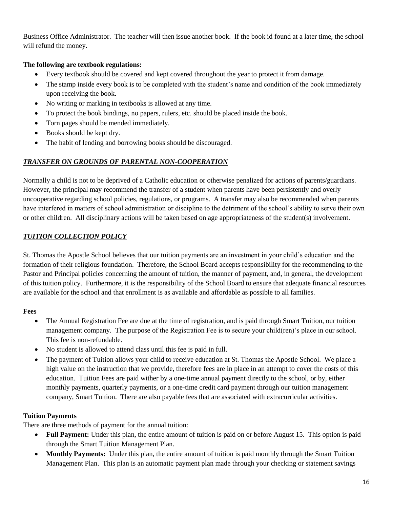Business Office Administrator. The teacher will then issue another book. If the book id found at a later time, the school will refund the money.

# **The following are textbook regulations:**

- Every textbook should be covered and kept covered throughout the year to protect it from damage.
- The stamp inside every book is to be completed with the student's name and condition of the book immediately upon receiving the book.
- No writing or marking in textbooks is allowed at any time.
- To protect the book bindings, no papers, rulers, etc. should be placed inside the book.
- Torn pages should be mended immediately.
- Books should be kept dry.
- The habit of lending and borrowing books should be discouraged.

# *TRANSFER ON GROUNDS OF PARENTAL NON-COOPERATION*

Normally a child is not to be deprived of a Catholic education or otherwise penalized for actions of parents/guardians. However, the principal may recommend the transfer of a student when parents have been persistently and overly uncooperative regarding school policies, regulations, or programs. A transfer may also be recommended when parents have interfered in matters of school administration or discipline to the detriment of the school's ability to serve their own or other children. All disciplinary actions will be taken based on age appropriateness of the student(s) involvement.

# *TUITION COLLECTION POLICY*

St. Thomas the Apostle School believes that our tuition payments are an investment in your child's education and the formation of their religious foundation. Therefore, the School Board accepts responsibility for the recommending to the Pastor and Principal policies concerning the amount of tuition, the manner of payment, and, in general, the development of this tuition policy. Furthermore, it is the responsibility of the School Board to ensure that adequate financial resources are available for the school and that enrollment is as available and affordable as possible to all families.

#### **Fees**

- The Annual Registration Fee are due at the time of registration, and is paid through Smart Tuition, our tuition management company. The purpose of the Registration Fee is to secure your child(ren)'s place in our school. This fee is non-refundable.
- No student is allowed to attend class until this fee is paid in full.
- The payment of Tuition allows your child to receive education at St. Thomas the Apostle School. We place a high value on the instruction that we provide, therefore fees are in place in an attempt to cover the costs of this education. Tuition Fees are paid wither by a one-time annual payment directly to the school, or by, either monthly payments, quarterly payments, or a one-time credit card payment through our tuition management company, Smart Tuition. There are also payable fees that are associated with extracurricular activities.

#### **Tuition Payments**

There are three methods of payment for the annual tuition:

- **Full Payment:** Under this plan, the entire amount of tuition is paid on or before August 15. This option is paid through the Smart Tuition Management Plan.
- **Monthly Payments:** Under this plan, the entire amount of tuition is paid monthly through the Smart Tuition Management Plan. This plan is an automatic payment plan made through your checking or statement savings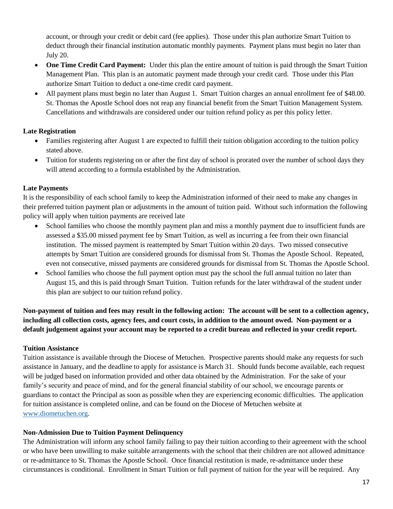account, or through your credit or debit card (fee applies). Those under this plan authorize Smart Tuition to deduct through their financial institution automatic monthly payments. Payment plans must begin no later than July 20.

- **One Time Credit Card Payment:** Under this plan the entire amount of tuition is paid through the Smart Tuition Management Plan. This plan is an automatic payment made through your credit card. Those under this Plan authorize Smart Tuition to deduct a one-time credit card payment.
- All payment plans must begin no later than August 1. Smart Tuition charges an annual enrollment fee of \$48.00. St. Thomas the Apostle School does not reap any financial benefit from the Smart Tuition Management System. Cancellations and withdrawals are considered under our tuition refund policy as per this policy letter.

# **Late Registration**

- Families registering after August 1 are expected to fulfill their tuition obligation according to the tuition policy stated above.
- Tuition for students registering on or after the first day of school is prorated over the number of school days they will attend according to a formula established by the Administration.

# **Late Payments**

It is the responsibility of each school family to keep the Administration informed of their need to make any changes in their preferred tuition payment plan or adjustments in the amount of tuition paid. Without such information the following policy will apply when tuition payments are received late

- School families who choose the monthly payment plan and miss a monthly payment due to insufficient funds are assessed a \$35.00 missed payment fee by Smart Tuition, as well as incurring a fee from their own financial institution. The missed payment is reattempted by Smart Tuition within 20 days. Two missed consecutive attempts by Smart Tuition are considered grounds for dismissal from St. Thomas the Apostle School. Repeated, even not consecutive, missed payments are considered grounds for dismissal from St. Thomas the Apostle School.
- School families who choose the full payment option must pay the school the full annual tuition no later than August 15, and this is paid through Smart Tuition. Tuition refunds for the later withdrawal of the student under this plan are subject to our tuition refund policy.

**Non-payment of tuition and fees may result in the following action: The account will be sent to a collection agency, including all collection costs, agency fees, and court costs, in addition to the amount owed. Non-payment or a default judgement against your account may be reported to a credit bureau and reflected in your credit report.**

#### **Tuition Assistance**

Tuition assistance is available through the Diocese of Metuchen. Prospective parents should make any requests for such assistance in January, and the deadline to apply for assistance is March 31. Should funds become available, each request will be judged based on information provided and other data obtained by the Administration. For the sake of your family's security and peace of mind, and for the general financial stability of our school, we encourage parents or guardians to contact the Principal as soon as possible when they are experiencing economic difficulties. The application for tuition assistance is completed online, and can be found on the Diocese of Metuchen website at [www.diometuchen.org.](http://www.diometuchen.org/)

#### **Non-Admission Due to Tuition Payment Delinquency**

The Administration will inform any school family failing to pay their tuition according to their agreement with the school or who have been unwilling to make suitable arrangements with the school that their children are not allowed admittance or re-admittance to St. Thomas the Apostle School. Once financial restitution is made, re-admittance under these circumstances is conditional. Enrollment in Smart Tuition or full payment of tuition for the year will be required. Any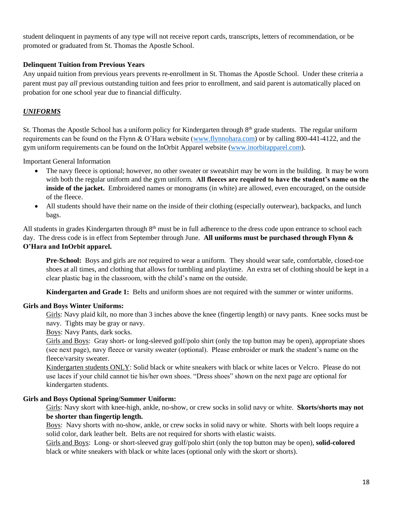student delinquent in payments of any type will not receive report cards, transcripts, letters of recommendation, or be promoted or graduated from St. Thomas the Apostle School.

#### **Delinquent Tuition from Previous Years**

Any unpaid tuition from previous years prevents re-enrollment in St. Thomas the Apostle School. Under these criteria a parent must pay *all* previous outstanding tuition and fees prior to enrollment, and said parent is automatically placed on probation for one school year due to financial difficulty.

# *UNIFORMS*

St. Thomas the Apostle School has a uniform policy for Kindergarten through  $8<sup>th</sup>$  grade students. The regular uniform requirements can be found on the Flynn & O'Hara website [\(www.flynnohara.com\)](http://www.flynnohara.com/) or by calling 800-441-4122, and the gym uniform requirements can be found on the InOrbit Apparel website [\(www.inorbitapparel.com\)](www.inorbitapparel.com).

Important General Information

- The navy fleece is optional; however, no other sweater or sweatshirt may be worn in the building. It may be worn with both the regular uniform and the gym uniform. **All fleeces are required to have the student's name on the inside of the jacket.** Embroidered names or monograms (in white) are allowed, even encouraged, on the outside of the fleece.
- All students should have their name on the inside of their clothing (especially outerwear), backpacks, and lunch bags.

All students in grades Kindergarten through  $8<sup>th</sup>$  must be in full adherence to the dress code upon entrance to school each day. The dress code is in effect from September through June. **All uniforms must be purchased through Flynn & O'Hara and InOrbit apparel.**

**Pre-School:** Boys and girls are *not* required to wear a uniform. They should wear safe, comfortable, closed-toe shoes at all times, and clothing that allows for tumbling and playtime. An extra set of clothing should be kept in a clear plastic bag in the classroom, with the child's name on the outside.

**Kindergarten and Grade 1:** Belts and uniform shoes are not required with the summer or winter uniforms.

#### **Girls and Boys Winter Uniforms:**

Girls: Navy plaid kilt, no more than 3 inches above the knee (fingertip length) or navy pants. Knee socks must be navy. Tights may be gray or navy.

Boys: Navy Pants, dark socks.

Girls and Boys: Gray short- or long-sleeved golf/polo shirt (only the top button may be open), appropriate shoes (see next page), navy fleece or varsity sweater (optional). Please embroider or mark the student's name on the fleece/varsity sweater.

Kindergarten students ONLY: Solid black or white sneakers with black or white laces or Velcro. Please do not use laces if your child cannot tie his/her own shoes. "Dress shoes" shown on the next page are optional for kindergarten students.

#### **Girls and Boys Optional Spring/Summer Uniform:**

Girls: Navy skort with knee-high, ankle, no-show, or crew socks in solid navy or white. **Skorts/shorts may not be shorter than fingertip length.**

Boys: Navy shorts with no-show, ankle, or crew socks in solid navy or white. Shorts with belt loops require a solid color, dark leather belt. Belts are not required for shorts with elastic waists.

Girls and Boys: Long- or short-sleeved gray golf/polo shirt (only the top button may be open), **solid-colored** black or white sneakers with black or white laces (optional only with the skort or shorts).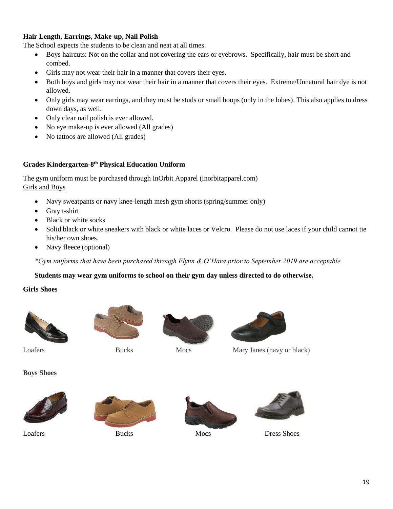#### **Hair Length, Earrings, Make-up, Nail Polish**

The School expects the students to be clean and neat at all times.

- Boys haircuts: Not on the collar and not covering the ears or eyebrows. Specifically, hair must be short and combed.
- Girls may not wear their hair in a manner that covers their eyes.
- Both boys and girls may not wear their hair in a manner that covers their eyes. Extreme/Unnatural hair dye is not allowed.
- Only girls may wear earrings, and they must be studs or small hoops (only in the lobes). This also applies to dress down days, as well.
- Only clear nail polish is ever allowed.
- No eye make-up is ever allowed (All grades)
- No tattoos are allowed (All grades)

#### **Grades Kindergarten-8 th Physical Education Uniform**

The gym uniform must be purchased through InOrbit Apparel (inorbitapparel.com) Girls and Boys

- Navy sweatpants or navy knee-length mesh gym shorts (spring/summer only)
- Gray t-shirt
- Black or white socks
- Solid black or white sneakers with black or white laces or Velcro. Please do not use laces if your child cannot tie his/her own shoes.
- Navy fleece (optional)

*\*Gym uniforms that have been purchased through Flynn & O'Hara prior to September 2019 are acceptable.*

#### **Students may wear gym uniforms to school on their gym day unless directed to do otherwise.**

#### **Girls Shoes**









Loafers Bucks Mocs Mary Janes (navy or black)

**Boys Shoes**









Loafers Bucks Bucks Mocs Dress Shoes